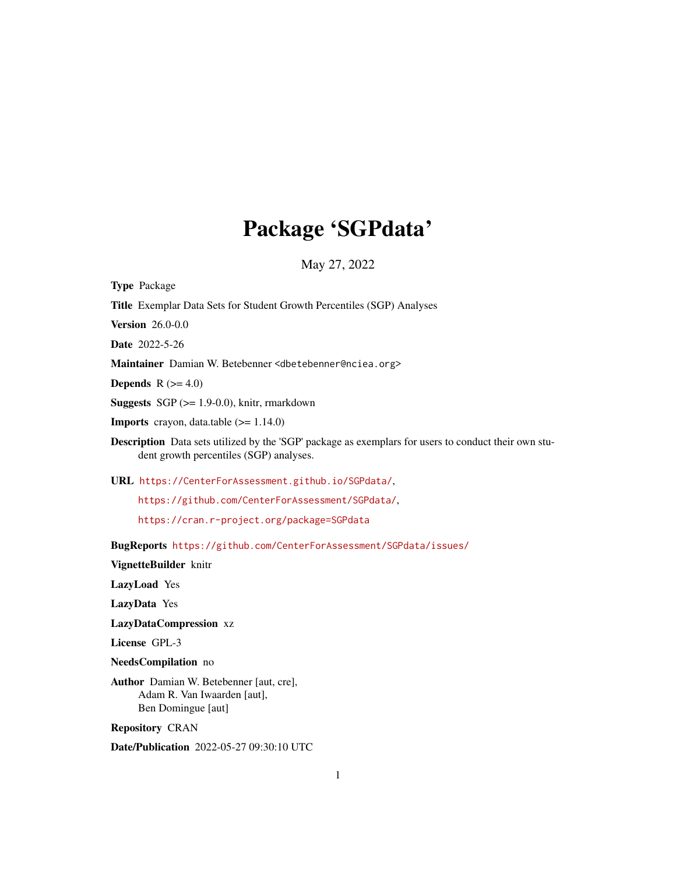## Package 'SGPdata'

May 27, 2022

Type Package

Title Exemplar Data Sets for Student Growth Percentiles (SGP) Analyses

Version 26.0-0.0

Date 2022-5-26

Maintainer Damian W. Betebenner <dbetebenner@nciea.org>

Depends  $R$  ( $>= 4.0$ )

**Suggests** SGP  $(>= 1.9-0.0)$ , knitr, rmarkdown

**Imports** crayon, data.table  $(>= 1.14.0)$ 

Description Data sets utilized by the 'SGP' package as exemplars for users to conduct their own student growth percentiles (SGP) analyses.

URL <https://CenterForAssessment.github.io/SGPdata/>,

<https://github.com/CenterForAssessment/SGPdata/>,

<https://cran.r-project.org/package=SGPdata>

BugReports <https://github.com/CenterForAssessment/SGPdata/issues/>

VignetteBuilder knitr

LazyLoad Yes

LazyData Yes

LazyDataCompression xz

License GPL-3

NeedsCompilation no

Author Damian W. Betebenner [aut, cre], Adam R. Van Iwaarden [aut], Ben Domingue [aut]

Repository CRAN

Date/Publication 2022-05-27 09:30:10 UTC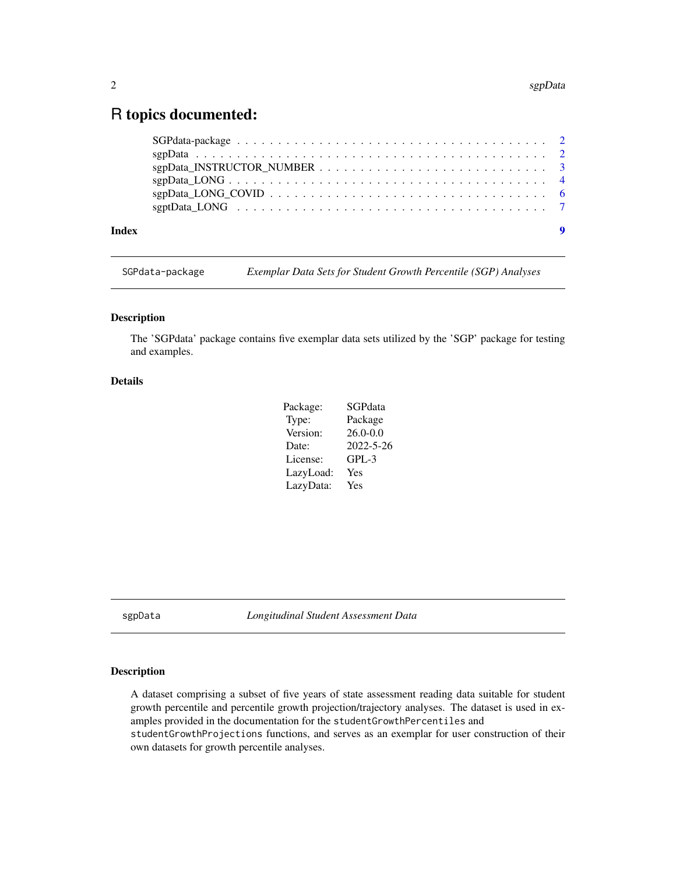### <span id="page-1-0"></span>R topics documented:

#### **Index** [9](#page-8-0)

SGPdata-package *Exemplar Data Sets for Student Growth Percentile (SGP) Analyses*

#### Description

The 'SGPdata' package contains five exemplar data sets utilized by the 'SGP' package for testing and examples.

#### Details

| Package:  | SGPdata         |
|-----------|-----------------|
| Type:     | Package         |
| Version:  | $26.0 - 0.0$    |
| Date:     | $2022 - 5 - 26$ |
| License:  | $GPL-3$         |
| LazyLoad: | Yes             |
| LazyData: | Yes             |

<span id="page-1-1"></span>sgpData *Longitudinal Student Assessment Data*

#### Description

A dataset comprising a subset of five years of state assessment reading data suitable for student growth percentile and percentile growth projection/trajectory analyses. The dataset is used in examples provided in the documentation for the studentGrowthPercentiles and studentGrowthProjections functions, and serves as an exemplar for user construction of their own datasets for growth percentile analyses.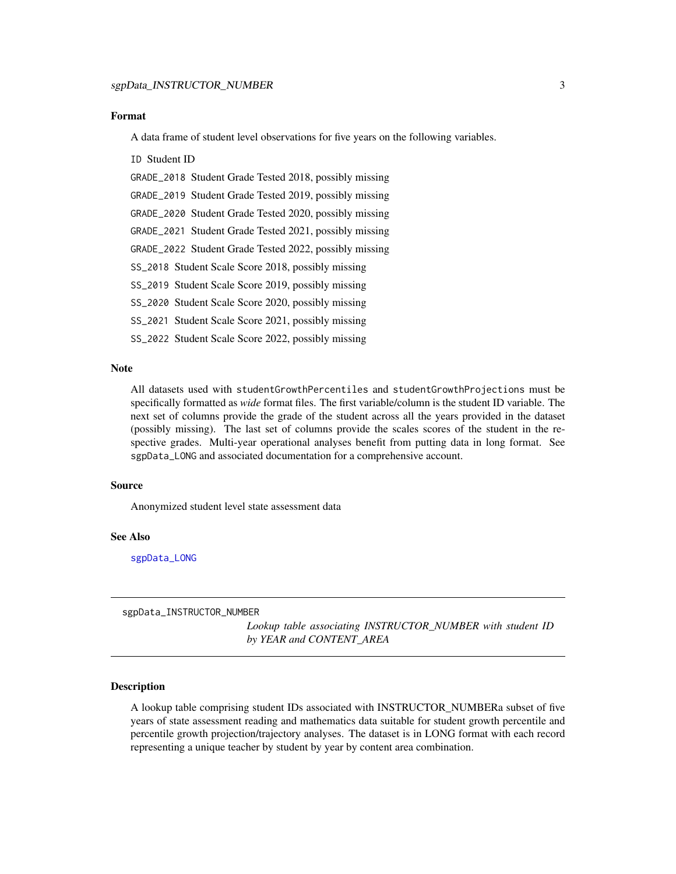#### <span id="page-2-0"></span>Format

A data frame of student level observations for five years on the following variables.

#### ID Student ID

GRADE\_2018 Student Grade Tested 2018, possibly missing

GRADE\_2019 Student Grade Tested 2019, possibly missing

GRADE\_2020 Student Grade Tested 2020, possibly missing

GRADE\_2021 Student Grade Tested 2021, possibly missing

GRADE\_2022 Student Grade Tested 2022, possibly missing

SS\_2018 Student Scale Score 2018, possibly missing

SS\_2019 Student Scale Score 2019, possibly missing

SS\_2020 Student Scale Score 2020, possibly missing

SS\_2021 Student Scale Score 2021, possibly missing

SS\_2022 Student Scale Score 2022, possibly missing

#### Note

All datasets used with studentGrowthPercentiles and studentGrowthProjections must be specifically formatted as *wide* format files. The first variable/column is the student ID variable. The next set of columns provide the grade of the student across all the years provided in the dataset (possibly missing). The last set of columns provide the scales scores of the student in the respective grades. Multi-year operational analyses benefit from putting data in long format. See sgpData\_LONG and associated documentation for a comprehensive account.

#### Source

Anonymized student level state assessment data

#### See Also

[sgpData\\_LONG](#page-3-1)

sgpData\_INSTRUCTOR\_NUMBER

*Lookup table associating INSTRUCTOR\_NUMBER with student ID by YEAR and CONTENT\_AREA*

#### Description

A lookup table comprising student IDs associated with INSTRUCTOR\_NUMBERa subset of five years of state assessment reading and mathematics data suitable for student growth percentile and percentile growth projection/trajectory analyses. The dataset is in LONG format with each record representing a unique teacher by student by year by content area combination.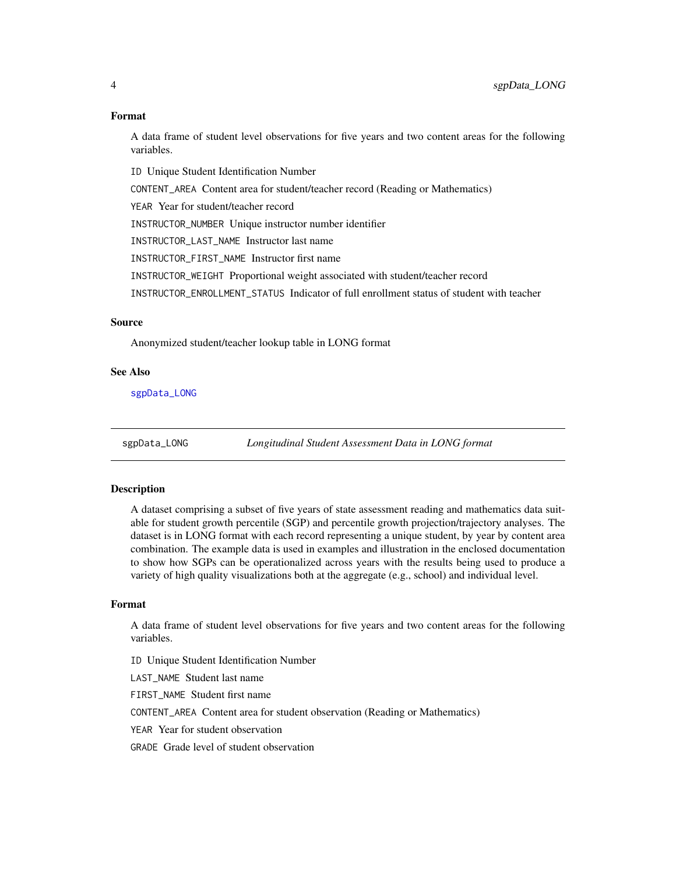#### Format

A data frame of student level observations for five years and two content areas for the following variables.

ID Unique Student Identification Number CONTENT\_AREA Content area for student/teacher record (Reading or Mathematics) YEAR Year for student/teacher record INSTRUCTOR\_NUMBER Unique instructor number identifier INSTRUCTOR\_LAST\_NAME Instructor last name INSTRUCTOR\_FIRST\_NAME Instructor first name INSTRUCTOR\_WEIGHT Proportional weight associated with student/teacher record INSTRUCTOR\_ENROLLMENT\_STATUS Indicator of full enrollment status of student with teacher

#### Source

Anonymized student/teacher lookup table in LONG format

#### See Also

[sgpData\\_LONG](#page-3-1)

<span id="page-3-1"></span>sgpData\_LONG *Longitudinal Student Assessment Data in LONG format*

#### **Description**

A dataset comprising a subset of five years of state assessment reading and mathematics data suitable for student growth percentile (SGP) and percentile growth projection/trajectory analyses. The dataset is in LONG format with each record representing a unique student, by year by content area combination. The example data is used in examples and illustration in the enclosed documentation to show how SGPs can be operationalized across years with the results being used to produce a variety of high quality visualizations both at the aggregate (e.g., school) and individual level.

#### Format

A data frame of student level observations for five years and two content areas for the following variables.

ID Unique Student Identification Number

LAST\_NAME Student last name

FIRST\_NAME Student first name

CONTENT\_AREA Content area for student observation (Reading or Mathematics)

YEAR Year for student observation

GRADE Grade level of student observation

<span id="page-3-0"></span>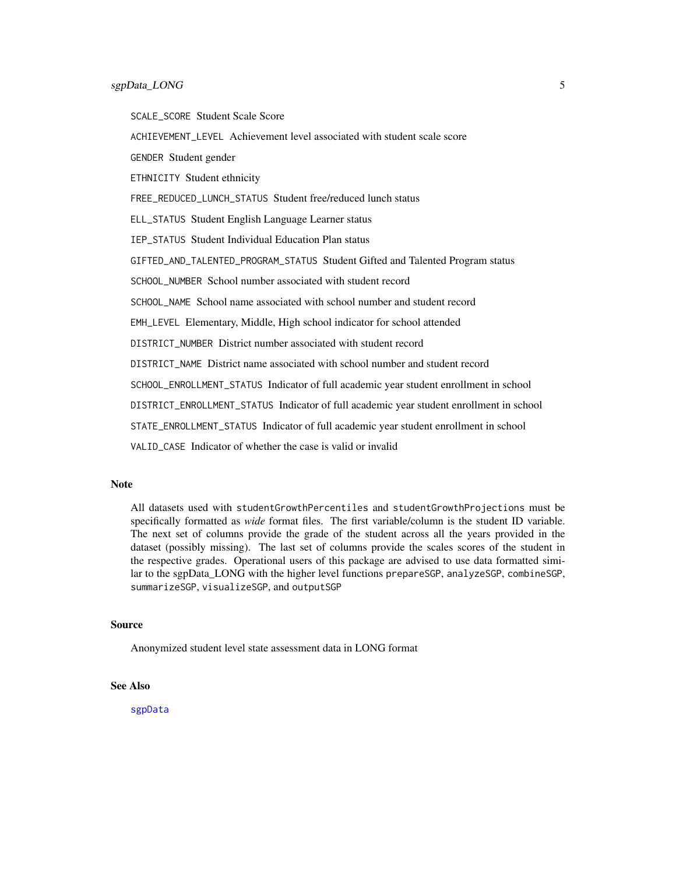<span id="page-4-0"></span>SCALE\_SCORE Student Scale Score

ACHIEVEMENT\_LEVEL Achievement level associated with student scale score

GENDER Student gender

ETHNICITY Student ethnicity

FREE\_REDUCED\_LUNCH\_STATUS Student free/reduced lunch status

ELL\_STATUS Student English Language Learner status

IEP\_STATUS Student Individual Education Plan status

GIFTED\_AND\_TALENTED\_PROGRAM\_STATUS Student Gifted and Talented Program status

SCHOOL\_NUMBER\_School number associated with student record

SCHOOL\_NAME School name associated with school number and student record

EMH\_LEVEL Elementary, Middle, High school indicator for school attended

DISTRICT\_NUMBER District number associated with student record

DISTRICT\_NAME District name associated with school number and student record

SCHOOL\_ENROLLMENT\_STATUS Indicator of full academic year student enrollment in school

DISTRICT\_ENROLLMENT\_STATUS Indicator of full academic year student enrollment in school

STATE\_ENROLLMENT\_STATUS Indicator of full academic year student enrollment in school

VALID\_CASE Indicator of whether the case is valid or invalid

#### **Note**

All datasets used with studentGrowthPercentiles and studentGrowthProjections must be specifically formatted as *wide* format files. The first variable/column is the student ID variable. The next set of columns provide the grade of the student across all the years provided in the dataset (possibly missing). The last set of columns provide the scales scores of the student in the respective grades. Operational users of this package are advised to use data formatted similar to the sgpData\_LONG with the higher level functions prepareSGP, analyzeSGP, combineSGP, summarizeSGP, visualizeSGP, and outputSGP

#### Source

Anonymized student level state assessment data in LONG format

#### See Also

[sgpData](#page-1-1)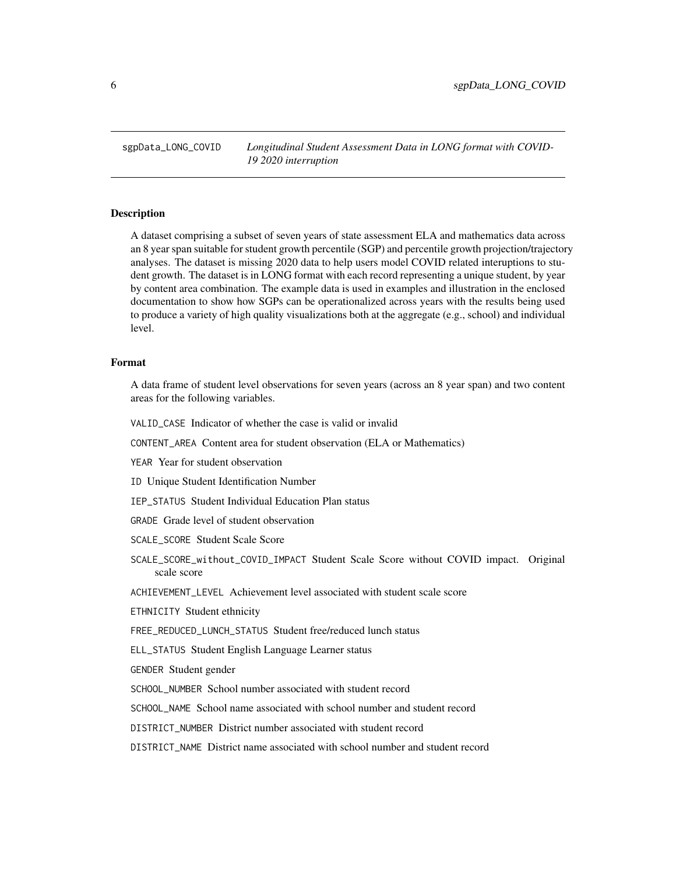<span id="page-5-0"></span>sgpData\_LONG\_COVID *Longitudinal Student Assessment Data in LONG format with COVID-19 2020 interruption*

#### Description

A dataset comprising a subset of seven years of state assessment ELA and mathematics data across an 8 year span suitable for student growth percentile (SGP) and percentile growth projection/trajectory analyses. The dataset is missing 2020 data to help users model COVID related interuptions to student growth. The dataset is in LONG format with each record representing a unique student, by year by content area combination. The example data is used in examples and illustration in the enclosed documentation to show how SGPs can be operationalized across years with the results being used to produce a variety of high quality visualizations both at the aggregate (e.g., school) and individual level.

#### Format

A data frame of student level observations for seven years (across an 8 year span) and two content areas for the following variables.

VALID\_CASE Indicator of whether the case is valid or invalid

CONTENT\_AREA Content area for student observation (ELA or Mathematics)

YEAR Year for student observation

ID Unique Student Identification Number

IEP\_STATUS Student Individual Education Plan status

GRADE Grade level of student observation

SCALE\_SCORE Student Scale Score

SCALE\_SCORE\_without\_COVID\_IMPACT Student Scale Score without COVID impact. Original scale score

ACHIEVEMENT\_LEVEL Achievement level associated with student scale score

ETHNICITY Student ethnicity

FREE\_REDUCED\_LUNCH\_STATUS Student free/reduced lunch status

ELL\_STATUS Student English Language Learner status

GENDER Student gender

SCHOOL\_NUMBER School number associated with student record

SCHOOL\_NAME School name associated with school number and student record

DISTRICT\_NUMBER District number associated with student record

DISTRICT\_NAME District name associated with school number and student record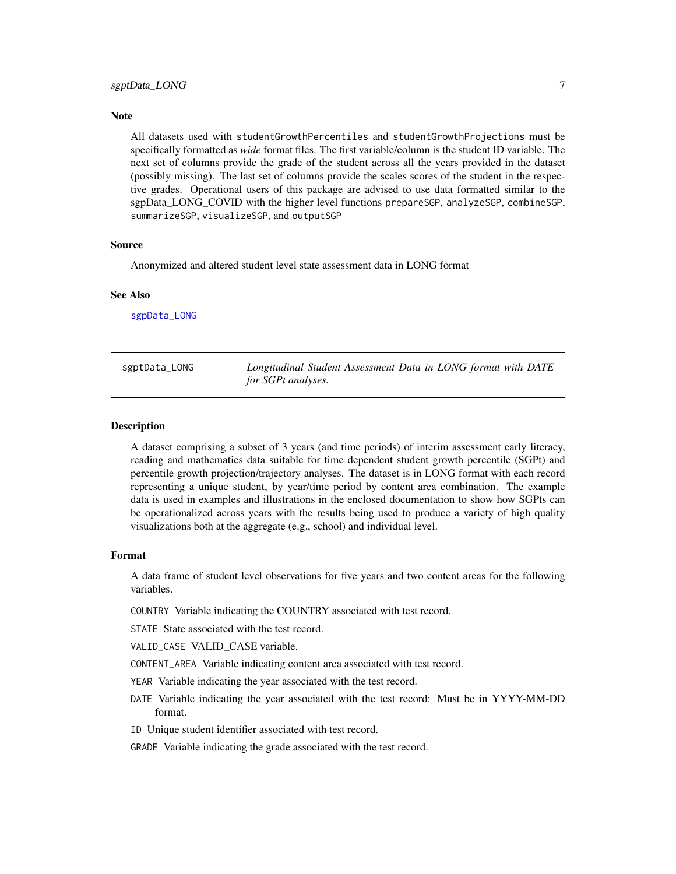#### <span id="page-6-0"></span>**Note**

All datasets used with studentGrowthPercentiles and studentGrowthProjections must be specifically formatted as *wide* format files. The first variable/column is the student ID variable. The next set of columns provide the grade of the student across all the years provided in the dataset (possibly missing). The last set of columns provide the scales scores of the student in the respective grades. Operational users of this package are advised to use data formatted similar to the sgpData\_LONG\_COVID with the higher level functions prepareSGP, analyzeSGP, combineSGP, summarizeSGP, visualizeSGP, and outputSGP

#### Source

Anonymized and altered student level state assessment data in LONG format

#### See Also

[sgpData\\_LONG](#page-3-1)

| sgptData_LONG | Longitudinal Student Assessment Data in LONG format with DATE |
|---------------|---------------------------------------------------------------|
|               | for SGPt analyses.                                            |

#### **Description**

A dataset comprising a subset of 3 years (and time periods) of interim assessment early literacy, reading and mathematics data suitable for time dependent student growth percentile (SGPt) and percentile growth projection/trajectory analyses. The dataset is in LONG format with each record representing a unique student, by year/time period by content area combination. The example data is used in examples and illustrations in the enclosed documentation to show how SGPts can be operationalized across years with the results being used to produce a variety of high quality visualizations both at the aggregate (e.g., school) and individual level.

#### Format

A data frame of student level observations for five years and two content areas for the following variables.

COUNTRY Variable indicating the COUNTRY associated with test record.

STATE State associated with the test record.

VALID\_CASE VALID\_CASE variable.

- CONTENT\_AREA Variable indicating content area associated with test record.
- YEAR Variable indicating the year associated with the test record.
- DATE Variable indicating the year associated with the test record: Must be in YYYY-MM-DD format.
- ID Unique student identifier associated with test record.

GRADE Variable indicating the grade associated with the test record.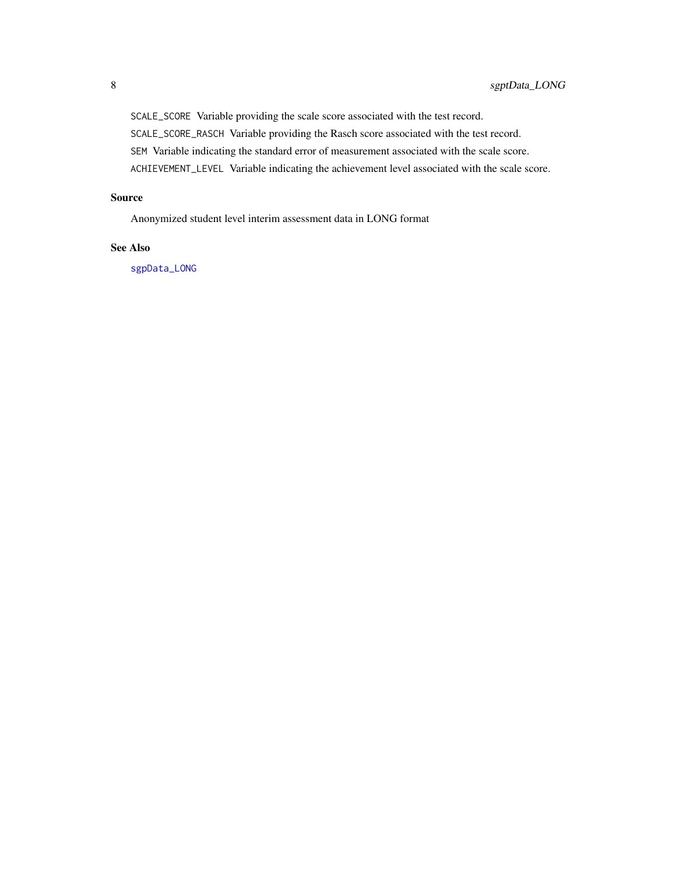<span id="page-7-0"></span>SCALE\_SCORE Variable providing the scale score associated with the test record. SCALE\_SCORE\_RASCH Variable providing the Rasch score associated with the test record. SEM Variable indicating the standard error of measurement associated with the scale score. ACHIEVEMENT\_LEVEL Variable indicating the achievement level associated with the scale score.

#### Source

Anonymized student level interim assessment data in LONG format

#### See Also

[sgpData\\_LONG](#page-3-1)